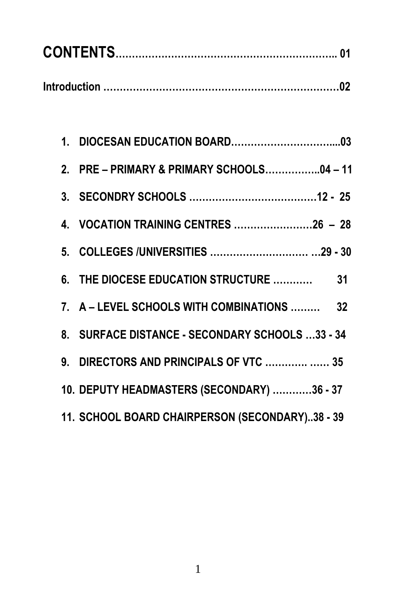| 2. PRE - PRIMARY & PRIMARY SCHOOLS04 - 11       |
|-------------------------------------------------|
|                                                 |
| 4. VOCATION TRAINING CENTRES 26 - 28            |
|                                                 |
| 6. THE DIOCESE EDUCATION STRUCTURE  31          |
| 7. A - LEVEL SCHOOLS WITH COMBINATIONS  32      |
| 8. SURFACE DISTANCE - SECONDARY SCHOOLS 33 - 34 |
| 9. DIRECTORS AND PRINCIPALS OF VTC   35         |
| 10. DEPUTY HEADMASTERS (SECONDARY) 36 - 37      |
| 11. SCHOOL BOARD CHAIRPERSON (SECONDARY)38 - 39 |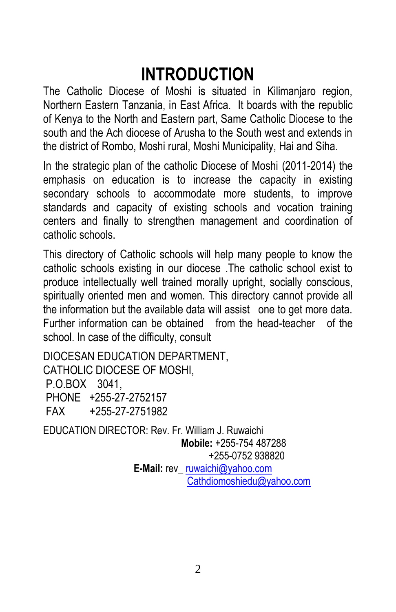# **INTRODUCTION**

The Catholic Diocese of Moshi is situated in Kilimanjaro region, Northern Eastern Tanzania, in East Africa. It boards with the republic of Kenya to the North and Eastern part, Same Catholic Diocese to the south and the Ach diocese of Arusha to the South west and extends in the district of Rombo, Moshi rural, Moshi Municipality, Hai and Siha.

In the strategic plan of the catholic Diocese of Moshi (2011-2014) the emphasis on education is to increase the capacity in existing secondary schools to accommodate more students, to improve standards and capacity of existing schools and vocation training centers and finally to strengthen management and coordination of catholic schools.

This directory of Catholic schools will help many people to know the catholic schools existing in our diocese .The catholic school exist to produce intellectually well trained morally upright, socially conscious, spiritually oriented men and women. This directory cannot provide all the information but the available data will assist one to get more data. Further information can be obtained from the head-teacher of the school. In case of the difficulty, consult

DIOCESAN EDUCATION DEPARTMENT, CATHOLIC DIOCESE OF MOSHI, P.O.BOX 3041, PHONE +255-27-2752157 FAX +255-27-2751982

EDUCATION DIRECTOR: Rev. Fr. William J. Ruwaichi  **Mobile:** +255-754 487288 +255-0752 938820 **E-Mail:** rev[\\_ ruwaichi@yahoo.com](mailto:ruwaichi@yahoo.com) Cathdiomoshiedu@yahoo.com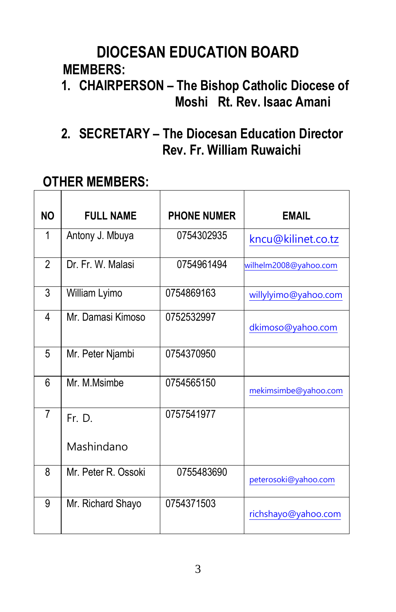## **DIOCESAN EDUCATION BOARD MEMBERS:**

### **1. CHAIRPERSON – The Bishop Catholic Diocese of Moshi Rt. Rev. Isaac Amani**

### **2. SECRETARY – The Diocesan Education Director Rev. Fr. William Ruwaichi**

| <b>NO</b>      | <b>FULL NAME</b>    | <b>PHONE NUMER</b> | <b>EMAIL</b>          |
|----------------|---------------------|--------------------|-----------------------|
| 1              | Antony J. Mbuya     | 0754302935         | kncu@kilinet.co.tz    |
| $\overline{2}$ | Dr. Fr. W. Malasi   | 0754961494         | wilhelm2008@yahoo.com |
| 3              | William Lyimo       | 0754869163         | willylyimo@yahoo.com  |
| 4              | Mr. Damasi Kimoso   | 0752532997         | dkimoso@yahoo.com     |
| 5              | Mr. Peter Njambi    | 0754370950         |                       |
| 6              | Mr. M.Msimbe        | 0754565150         | mekimsimbe@yahoo.com  |
| $\overline{7}$ | Fr. D.              | 0757541977         |                       |
|                | Mashindano          |                    |                       |
| 8              | Mr. Peter R. Ossoki | 0755483690         | peterosoki@yahoo.com  |
| 9              | Mr. Richard Shayo   | 0754371503         | richshayo@yahoo.com   |

### **OTHER MEMBERS:**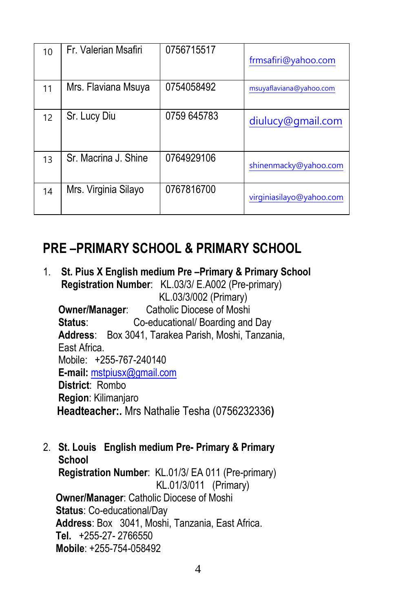| 10 | Fr. Valerian Msafiri | 0756715517  | frmsafiri@yahoo.com      |
|----|----------------------|-------------|--------------------------|
| 11 | Mrs. Flaviana Msuya  | 0754058492  | msuyaflaviana@yahoo.com  |
| 12 | Sr. Lucy Diu         | 0759 645783 | diulucy@gmail.com        |
| 13 | Sr. Macrina J. Shine | 0764929106  | shinenmacky@yahoo.com    |
| 14 | Mrs. Virginia Silayo | 0767816700  | virginiasilayo@yahoo.com |

### **PRE –PRIMARY SCHOOL & PRIMARY SCHOOL**

- 1. **St. Pius X English medium Pre –Primary & Primary School Registration Number**: KL.03/3/ E.A002 (Pre-primary) KL.03/3/002 (Primary) **Owner/Manager**: Catholic Diocese of Moshi  **Status**: Co-educational/ Boarding and Day **Address**: Box 3041, Tarakea Parish, Moshi, Tanzania, East Africa. Mobile: +255-767-240140  **E-mail:** [mstpiusx@gmail.com](mailto:mstpiusx@gmail.com) **District**: Rombo **Region**: Kilimanjaro  **Headteacher:.** Mrs Nathalie Tesha (0756232336**)**
- 2. **St. Louis English medium Pre- Primary & Primary School Registration Number**: KL.01/3/ EA 011 (Pre-primary) KL.01/3/011 (Primary) **Owner/Manager**: Catholic Diocese of Moshi **Status**: Co-educational/Day **Address**: Box 3041, Moshi, Tanzania, East Africa. **Tel.** +255-27- 2766550 **Mobile**: +255-754-058492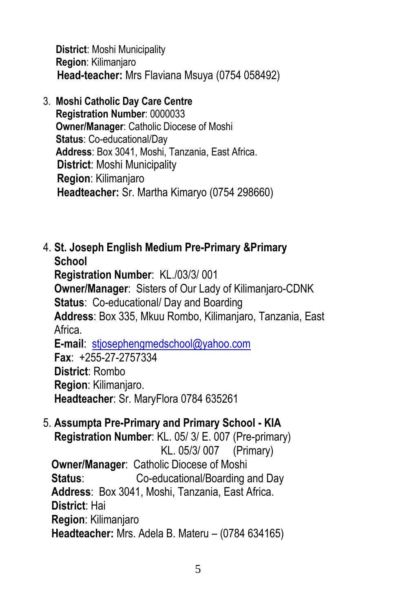**District**: Moshi Municipality **Region**: Kilimanjaro  **Head-teacher:** Mrs Flaviana Msuya (0754 058492)

3. **Moshi Catholic Day Care Centre**

 **Registration Number**: 0000033 **Owner/Manager**: Catholic Diocese of Moshi **Status**: Co-educational/Day **Address**: Box 3041, Moshi, Tanzania, East Africa. **District**: Moshi Municipality **Region**: Kilimanjaro **Headteacher:** Sr. Martha Kimaryo (0754 298660)

4. **St. Joseph English Medium Pre-Primary &Primary School**

 **Registration Number**: KL./03/3/ 001 **Owner/Manager**: Sisters of Our Lady of Kilimanjaro-CDNK **Status**: Co-educational/ Day and Boarding **Address**: Box 335, Mkuu Rombo, Kilimanjaro, Tanzania, East Africa. **E-mail**: [stjosephengmedschool@yahoo.com](mailto:stjosephengmedschool@yahoo.com)

 **Fax**: +255-27-2757334 **District**: Rombo **Region**: Kilimanjaro.  **Headteacher**: Sr. MaryFlora 0784 635261

5. **Assumpta Pre-Primary and Primary School - KIA Registration Number**: KL. 05/ 3/ E. 007 (Pre-primary)

 KL. 05/3/ 007 (Primary) **Owner/Manager**: Catholic Diocese of Moshi **Status**: Co-educational/Boarding and Day **Address**: Box 3041, Moshi, Tanzania, East Africa. **District**: Hai **Region**: Kilimanjaro **Headteacher:** Mrs. Adela B. Materu – (0784 634165)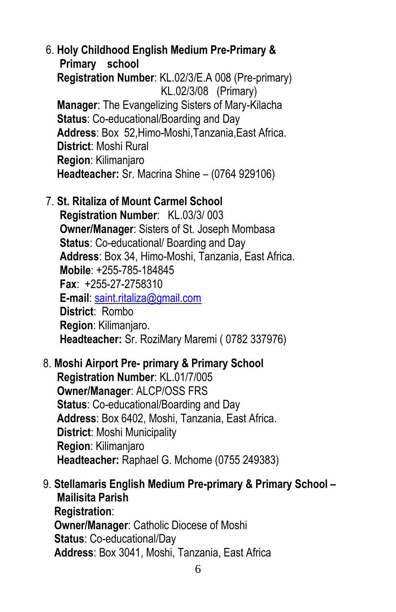6. **Holy Childhood English Medium Pre-Primary & Primary school Registration Number**: KL.02/3/E.A 008 (Pre-primary) KL.02/3/08 (Primary) **Manager**: The Evangelizing Sisters of Mary-Kilacha **Status**: Co-educational/Boarding and Day **Address**: Box 52,Himo-Moshi,Tanzania,East Africa. **District**: Moshi Rural **Region**: Kilimanjaro **Headteacher:** Sr. Macrina Shine – (0764 929106)

### 7. **St. Ritaliza of Mount Carmel School**

 **Registration Number**: KL.03/3/ 003 **Owner/Manager**: Sisters of St. Joseph Mombasa **Status**: Co-educational/ Boarding and Day **Address**: Box 34, Himo-Moshi, Tanzania, East Africa. **Mobile**: +255-785-184845 **Fax**: +255-27-2758310  **E-mail**: [saint.ritaliza@gmail.com](mailto:saint.ritaliza@gmail.com) **District**: Rombo **Region**: Kilimanjaro. **Headteacher:** Sr. RoziMary Maremi ( 0782 337976)

- 8. **Moshi Airport Pre- primary & Primary School Registration Number**: KL.01/7/005 **Owner/Manager**: ALCP/OSS FRS **Status**: Co-educational/Boarding and Day **Address**: Box 6402, Moshi, Tanzania, East Africa. **District**: Moshi Municipality **Region**: Kilimanjaro **Headteacher:** Raphael G. Mchome (0755 249383)
- 9. **Stellamaris English Medium Pre-primary & Primary School – Mailisita Parish Registration**: **Owner/Manager**: Catholic Diocese of Moshi **Status**: Co-educational/Day **Address**: Box 3041, Moshi, Tanzania, East Africa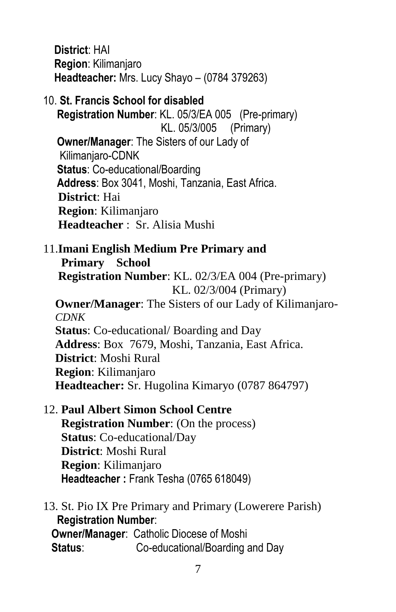**District**: HAI **Region**: Kilimanjaro **Headteacher:** Mrs. Lucy Shayo – (0784 379263)

10. **St. Francis School for disabled Registration Number**: KL. 05/3/EA 005 (Pre-primary) KL. 05/3/005 (Primary) **Owner/Manager**: The Sisters of our Lady of Kilimanjaro-CDNK **Status**: Co-educational/Boarding **Address**: Box 3041, Moshi, Tanzania, East Africa. **District**: Hai **Region**: Kilimanjaro  **Headteacher** : Sr. Alisia Mushi

11.**Imani English Medium Pre Primary and Primary School Registration Number**: KL. 02/3/EA 004 (Pre-primary) KL. 02/3/004 (Primary) **Owner/Manager**: The Sisters of our Lady of Kilimanjaro- *CDNK* **Status**: Co-educational/ Boarding and Day **Address**: Box 7679, Moshi, Tanzania, East Africa. **District**: Moshi Rural **Region**: Kilimanjaro **Headteacher:** Sr. Hugolina Kimaryo (0787 864797)

12. **Paul Albert Simon School Centre Registration Number**: (On the process) **Status**: Co-educational/Day **District**: Moshi Rural **Region**: Kilimanjaro **Headteacher :** Frank Tesha (0765 618049)

13. St. Pio IX Pre Primary and Primary (Lowerere Parish)  **Registration Number**: **Owner/Manager**: Catholic Diocese of Moshi **Status**: Co-educational/Boarding and Day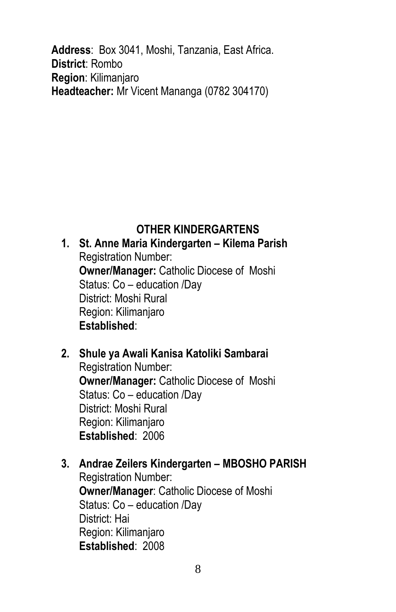**Address**: Box 3041, Moshi, Tanzania, East Africa. **District**: Rombo **Region**: Kilimanjaro **Headteacher:** Mr Vicent Mananga (0782 304170)

### **OTHER KINDERGARTENS**

**1. St. Anne Maria Kindergarten – Kilema Parish** Registration Number: **Owner/Manager:** Catholic Diocese of Moshi Status: Co – education /Day District: Moshi Rural Region: Kilimanjaro **Established**:

- **2. Shule ya Awali Kanisa Katoliki Sambarai** Registration Number: **Owner/Manager:** Catholic Diocese of Moshi Status: Co – education /Day District: Moshi Rural Region: Kilimanjaro **Established**: 2006
- **3. Andrae Zeilers Kindergarten – MBOSHO PARISH** Registration Number: **Owner/Manager**: Catholic Diocese of Moshi Status: Co – education /Day District: Hai Region: Kilimanjaro **Established**: 2008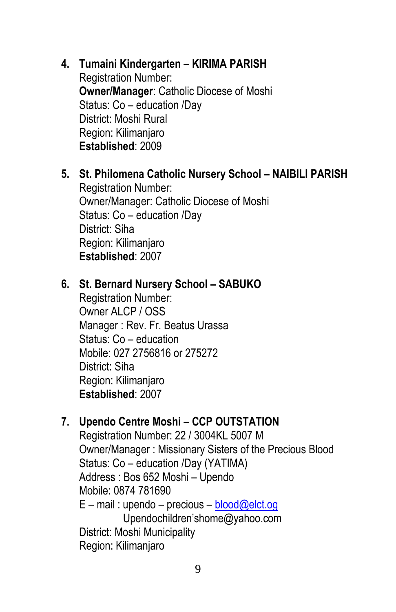- **4. Tumaini Kindergarten – KIRIMA PARISH** Registration Number: **Owner/Manager**: Catholic Diocese of Moshi Status: Co – education /Day District: Moshi Rural Region: Kilimanjaro **Established**: 2009
- **5. St. Philomena Catholic Nursery School – NAIBILI PARISH** Registration Number: Owner/Manager: Catholic Diocese of Moshi Status: Co – education /Day District: Siha Region: Kilimanjaro **Established**: 2007

#### **6. St. Bernard Nursery School – SABUKO**

Registration Number: Owner ALCP / OSS Manager : Rev. Fr. Beatus Urassa Status: Co – education Mobile: 027 2756816 or 275272 District: Siha Region: Kilimanjaro **Established**: 2007

### **7. Upendo Centre Moshi – CCP OUTSTATION**

Registration Number: 22 / 3004KL 5007 M Owner/Manager : Missionary Sisters of the Precious Blood Status: Co – education /Day (YATIMA) Address : Bos 652 Moshi – Upendo Mobile: 0874 781690  $E$  – mail : upendo – precious – [blood@elct.og](mailto:blood@elct.og) Upendochildren'shome@yahoo.com District: Moshi Municipality Region: Kilimanjaro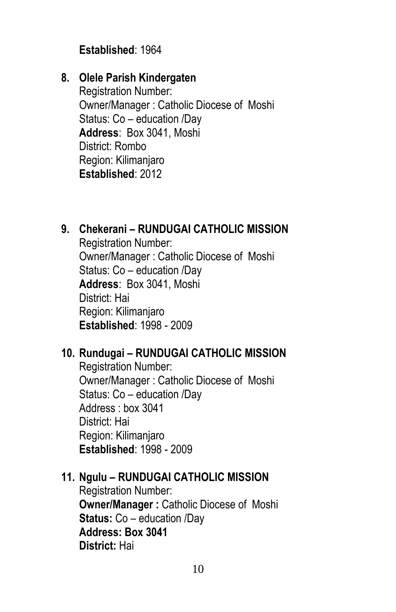### **Established**: 1964

### **8. Olele Parish Kindergaten**

Registration Number: Owner/Manager : Catholic Diocese of Moshi Status: Co – education /Day **Address**: Box 3041, Moshi District: Rombo Region: Kilimanjaro **Established**: 2012

### **9. Chekerani – RUNDUGAI CATHOLIC MISSION**

Registration Number: Owner/Manager : Catholic Diocese of Moshi Status: Co – education /Day **Address**: Box 3041, Moshi District: Hai Region: Kilimanjaro **Established**: 1998 - 2009

### **10. Rundugai – RUNDUGAI CATHOLIC MISSION**

Registration Number: Owner/Manager : Catholic Diocese of Moshi Status: Co – education /Day Address : box 3041 District: Hai Region: Kilimanjaro **Established**: 1998 - 2009

### **11. Ngulu – RUNDUGAI CATHOLIC MISSION**

Registration Number: **Owner/Manager :** Catholic Diocese of Moshi **Status:** Co – education /Day **Address: Box 3041 District:** Hai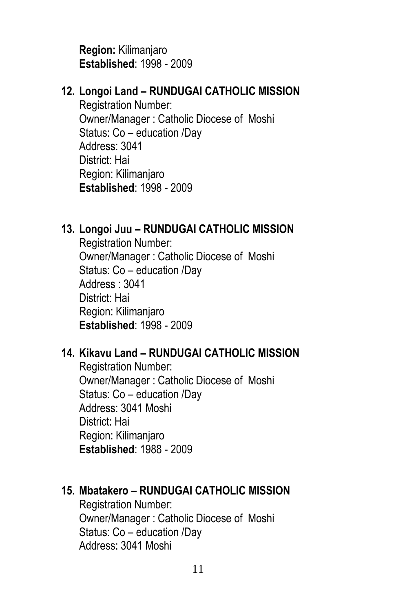**Region:** Kilimanjaro **Established**: 1998 - 2009

### **12. Longoi Land – RUNDUGAI CATHOLIC MISSION**

Registration Number: Owner/Manager : Catholic Diocese of Moshi Status: Co – education /Day Address: 3041 District: Hai Region: Kilimanjaro **Established**: 1998 - 2009

### **13. Longoi Juu – RUNDUGAI CATHOLIC MISSION**

Registration Number: Owner/Manager : Catholic Diocese of Moshi Status: Co – education /Day Address : 3041 District: Hai Region: Kilimanjaro **Established**: 1998 - 2009

### **14. Kikavu Land – RUNDUGAI CATHOLIC MISSION**

Registration Number: Owner/Manager : Catholic Diocese of Moshi Status: Co – education /Day Address: 3041 Moshi District: Hai Region: Kilimanjaro **Established**: 1988 - 2009

### **15. Mbatakero – RUNDUGAI CATHOLIC MISSION**

Registration Number: Owner/Manager : Catholic Diocese of Moshi Status: Co – education /Day Address: 3041 Moshi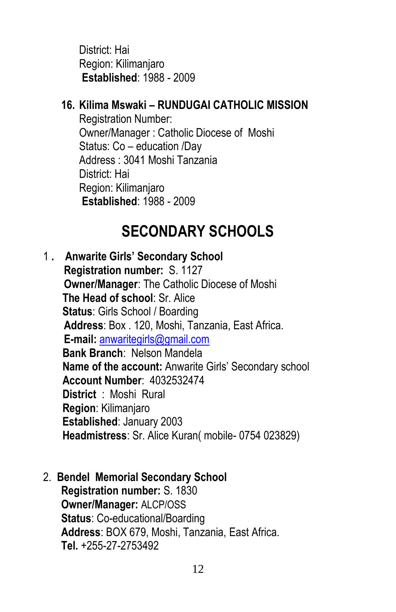District: Hai Region: Kilimanjaro **Established**: 1988 - 2009

### **16. Kilima Mswaki – RUNDUGAI CATHOLIC MISSION**

Registration Number: Owner/Manager : Catholic Diocese of Moshi Status: Co – education /Day Address : 3041 Moshi Tanzania District: Hai Region: Kilimanjaro **Established**: 1988 - 2009

## **SECONDARY SCHOOLS**

1 **. Anwarite Girls' Secondary School Registration number:** S. 1127 **Owner/Manager**: The Catholic Diocese of Moshi  **The Head of school**: Sr. Alice **Status**: Girls School / Boarding **Address**: Box . 120, Moshi, Tanzania, East Africa. **E-mail:** [anwaritegirls@gmail.com](mailto:anwaritegirls@gmail.com)  **Bank Branch**: Nelson Mandela **Name of the account:** Anwarite Girls' Secondary school **Account Number**: 4032532474 **District** : Moshi Rural  **Region**: Kilimanjaro  **Established**: January 2003  **Headmistress**: Sr. Alice Kuran( mobile- 0754 023829)

### 2. **Bendel Memorial Secondary School**

**Registration number:** S. 1830 **Owner/Manager:** ALCP/OSS **Status**: Co-educational/Boarding **Address**: BOX 679, Moshi, Tanzania, East Africa. **Tel.** +255-27-2753492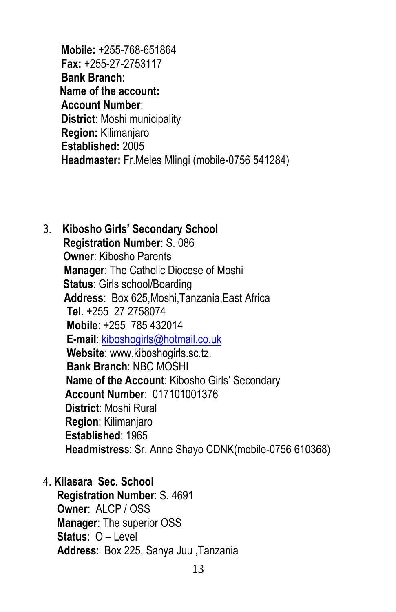**Mobile:** +255-768-651864 **Fax:** +255-27-2753117 **Bank Branch**:  **Name of the account: Account Number**: **District**: Moshi municipality **Region:** Kilimanjaro **Established:** 2005 **Headmaster:** Fr.Meles Mlingi (mobile-0756 541284)

- 3. **Kibosho Girls' Secondary School Registration Number**: S. 086 **Owner**: Kibosho Parents **Manager**: The Catholic Diocese of Moshi **Status**: Girls school/Boarding **Address**: Box 625,Moshi,Tanzania,East Africa **Tel**. +255 27 2758074 **Mobile**: +255 785 432014 **E-mail**[: kiboshogirls@hotmail.co.uk](mailto:kiboshogirls@hotmail.co.uk) **Website**: www.kiboshogirls.sc.tz. **Bank Branch**: NBC MOSHI **Name of the Account**: Kibosho Girls' Secondary **Account Number**: 017101001376 **District**: Moshi Rural **Region**: Kilimanjaro **Established**: 1965  **Headmistres**s: Sr. Anne Shayo CDNK(mobile-0756 610368)
- 4. **Kilasara Sec. School**

 **Registration Number**: S. 4691 **Owner**: ALCP / OSS **Manager**: The superior OSS **Status**: O – Level **Address**: Box 225, Sanya Juu ,Tanzania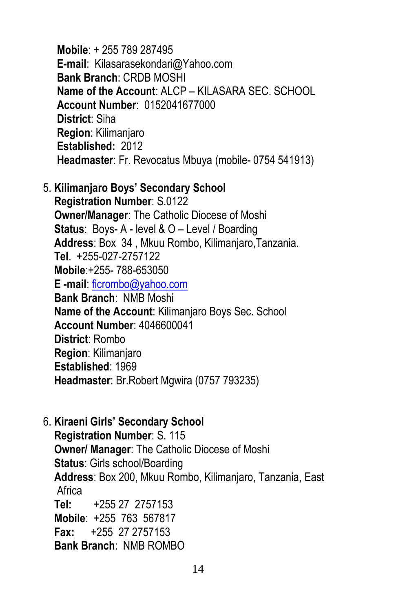**Mobile**: + 255 789 287495 **E-mail**: Kilasarasekondari@Yahoo.com **Bank Branch**: CRDB MOSHI **Name of the Account**: ALCP – KILASARA SEC. SCHOOL **Account Number**: 0152041677000 **District**: Siha **Region**: Kilimanjaro **Established:** 2012  **Headmaster**: Fr. Revocatus Mbuya (mobile- 0754 541913)

5. **Kilimanjaro Boys' Secondary School**

 **Registration Number**: S.0122 **Owner/Manager**: The Catholic Diocese of Moshi **Status**: Boys- A - level & O – Level / Boarding **Address**: Box 34 , Mkuu Rombo, Kilimanjaro,Tanzania. **Tel**. +255-027-2757122 **Mobile**:+255- 788-653050  **E -mail**: [ficrombo@yahoo.com](mailto:ficrombo@yahoo.com) **Bank Branch**: NMB Moshi **Name of the Account**: Kilimanjaro Boys Sec. School **Account Number**: 4046600041 **District**: Rombo **Region**: Kilimanjaro **Established**: 1969  **Headmaster**: Br.Robert Mgwira (0757 793235)

6. **Kiraeni Girls' Secondary School Registration Number**: S. 115 **Owner/ Manager**: The Catholic Diocese of Moshi **Status**: Girls school/Boarding **Address**: Box 200, Mkuu Rombo, Kilimanjaro, Tanzania, East Africa **Tel:** +255 27 2757153 **Mobile**: +255 763 567817  **Fax:** +255 27 2757153 **Bank Branch**: NMB ROMBO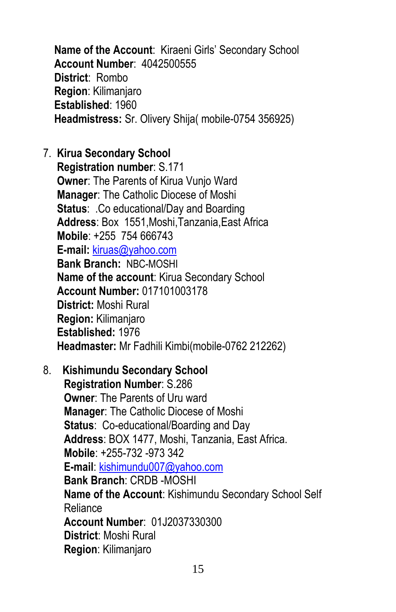**Name of the Account**: Kiraeni Girls' Secondary School **Account Number**: 4042500555 **District**: Rombo **Region**: Kilimanjaro **Established**: 1960  **Headmistress:** Sr. Olivery Shija( mobile-0754 356925)

- 7. **Kirua Secondary School Registration number**: S.171 **Owner**: The Parents of Kirua Vunjo Ward **Manager**: The Catholic Diocese of Moshi **Status: . Co educational/Day and Boarding Address**: Box 1551,Moshi,Tanzania,East Africa **Mobile**: +255 754 666743 **E-mail:** [kiruas@yahoo.com](mailto:kiruas@yahoo.com)  **Bank Branch:** NBC-MOSHI **Name of the account**: Kirua Secondary School **Account Number:** 017101003178 **District:** Moshi Rural **Region:** Kilimanjaro  **Established:** 1976  **Headmaster:** Mr Fadhili Kimbi(mobile-0762 212262)
- 8. **Kishimundu Secondary School Registration Number**: S.286 **Owner: The Parents of Uru ward Manager**: The Catholic Diocese of Moshi **Status**: Co-educational/Boarding and Day **Address**: BOX 1477, Moshi, Tanzania, East Africa. **Mobile**: +255-732 -973 342 **E-mail**: [kishimundu007@yahoo.com](mailto:kishimundu007@yahoo.com) **Bank Branch**: CRDB -MOSHI **Name of the Account**: Kishimundu Secondary School Self Reliance **Account Number**: 01J2037330300 **District**: Moshi Rural **Region**: Kilimanjaro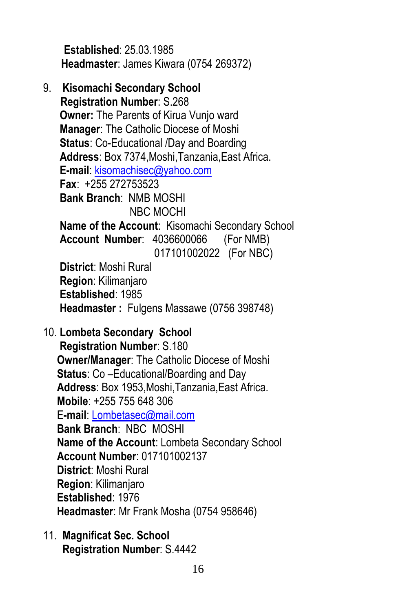**Established**: 25.03.1985 **Headmaster**: James Kiwara (0754 269372)

- 9. **Kisomachi Secondary School Registration Number**: S.268 **Owner:** The Parents of Kirua Vunjo ward **Manager**: The Catholic Diocese of Moshi **Status**: Co-Educational /Day and Boarding **Address**: Box 7374,Moshi,Tanzania,East Africa. **E-mail**[: kisomachisec@yahoo.com](mailto:kisomachisec@yahoo.com) **Fax**: +255 272753523 **Bank Branch**: NMB MOSHI NBC MOCHI **Name of the Account**: Kisomachi Secondary School **Account Number**: 4036600066 (For NMB) 017101002022 (For NBC) **District**: Moshi Rural **Region**: Kilimanjaro **Established**: 1985  **Headmaster :** Fulgens Massawe (0756 398748)
- 10. **Lombeta Secondary School Registration Number**: S.180 **Owner/Manager**: The Catholic Diocese of Moshi **Status**: Co –Educational/Boarding and Day **Address**: Box 1953,Moshi,Tanzania,East Africa. **Mobile**: +255 755 648 306 E**-mail**: [Lombetasec@mail.com](mailto:Lombetasec@mail.com) **Bank Branch**: NBC MOSHI **Name of the Account**: Lombeta Secondary School **Account Number**: 017101002137 **District**: Moshi Rural **Region**: Kilimanjaro **Established**: 1976  **Headmaster**: Mr Frank Mosha (0754 958646)
- 11. **Magnificat Sec. School Registration Number**: S.4442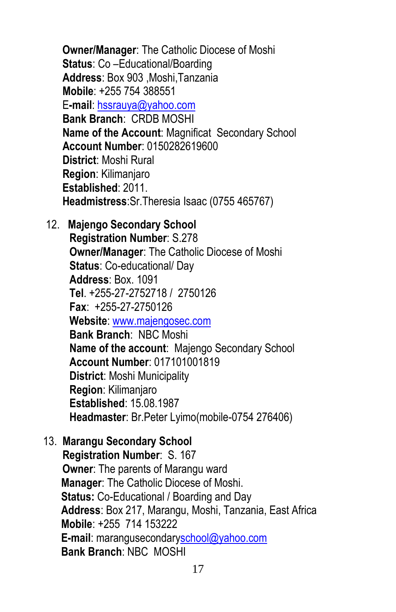**Owner/Manager**: The Catholic Diocese of Moshi **Status**: Co –Educational/Boarding **Address**: Box 903 ,Moshi,Tanzania **Mobile**: +255 754 388551 E**-mail**: [hssrauya@yahoo.com](mailto:hssrauya@yahoo.com) **Bank Branch**: CRDB MOSHI **Name of the Account**: Magnificat Secondary School **Account Number**: 0150282619600 **District**: Moshi Rural **Region**: Kilimanjaro **Established**: 2011.  **Headmistress**:Sr.Theresia Isaac (0755 465767)

12. **Majengo Secondary School Registration Number**: S.278 **Owner/Manager**: The Catholic Diocese of Moshi **Status**: Co-educational/ Day **Address**: Box. 1091 **Tel**. +255-27-2752718 / 2750126 **Fax**: +255-27-2750126 **Website**[: www.majengosec.com](http://www.majengosec.com/) **Bank Branch**: NBC Moshi **Name of the account**: Majengo Secondary School **Account Number**: 017101001819 **District**: Moshi Municipality **Region**: Kilimanjaro **Established**: 15.08.1987  **Headmaster**: Br.Peter Lyimo(mobile-0754 276406)

13. **Marangu Secondary School Registration Number**: S. 167 **Owner**: The parents of Marangu ward **Manager**: The Catholic Diocese of Moshi. **Status:** Co-Educational / Boarding and Day **Address**: Box 217, Marangu, Moshi, Tanzania, East Africa **Mobile**: +255 714 153222 **E-mail**: marangusecondar[yschool@yahoo.com](mailto:school@yahoo.com) **Bank Branch**: NBC MOSHI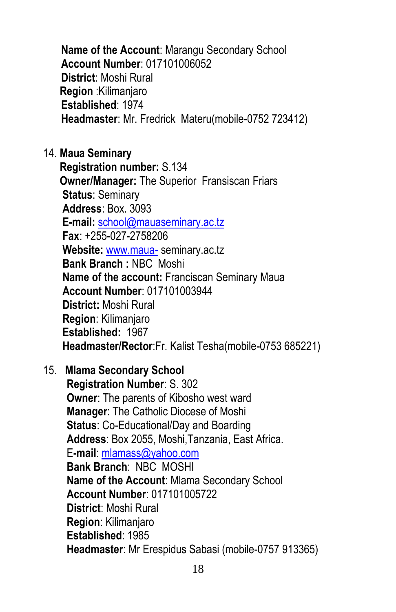**Name of the Account**: Marangu Secondary School **Account Number**: 017101006052 **District**: Moshi Rural **Region** :Kilimanjaro **Established**: 1974 **Headmaster**: Mr. Fredrick Materu(mobile-0752 723412)

14. **Maua Seminary**

 **Registration number:** S.134 **Owner/Manager:** The Superior Fransiscan Friars **Status**: Seminary **Address**: Box. 3093 **E-mail:** [school@mauaseminary.ac.tz](mailto:school@mauaseminary.ac.tz) **Fax**: +255-027-2758206 **Website:** [www.maua-](http://www.maua-/) seminary.ac.tz  **Bank Branch :** NBC Moshi **Name of the account:** Franciscan Seminary Maua **Account Number**: 017101003944 **District:** Moshi Rural  **Region**: Kilimanjaro **Established:** 1967  **Headmaster/Rector**:Fr. Kalist Tesha(mobile-0753 685221)

15. **Mlama Secondary School**

 **Registration Number**: S. 302 **Owner**: The parents of Kibosho west ward **Manager**: The Catholic Diocese of Moshi **Status**: Co-Educational/Day and Boarding **Address**: Box 2055, Moshi,Tanzania, East Africa. E**-mail**[: mlamass@yahoo.com](mailto:mlamass@yahoo.com) **Bank Branch**: NBC MOSHI **Name of the Account**: Mlama Secondary School **Account Number**: 017101005722 **District**: Moshi Rural **Region**: Kilimanjaro **Established**: 1985  **Headmaster**: Mr Erespidus Sabasi (mobile-0757 913365)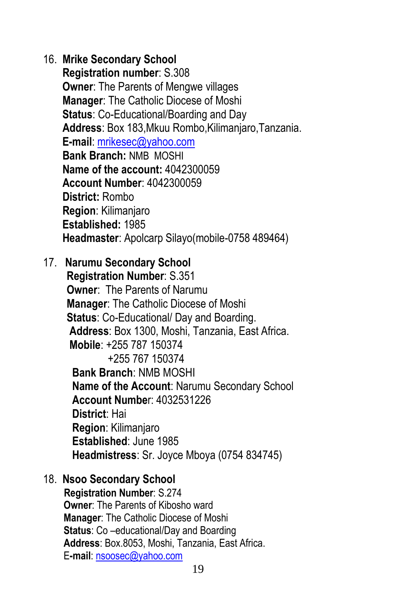### 16. **Mrike Secondary School**

 **Registration number**: S.308 **Owner: The Parents of Mengwe villages Manager**: The Catholic Diocese of Moshi **Status**: Co-Educational/Boarding and Day **Address**: Box 183,Mkuu Rombo,Kilimanjaro,Tanzania. **E-mail**: [mrikesec@yahoo.com](mailto:mrikesec@yahoo.com) **Bank Branch:** NMB MOSHI **Name of the account:** 4042300059 **Account Number**: 4042300059 **District:** Rombo **Region**: Kilimanjaro **Established:** 1985  **Headmaster**: Apolcarp Silayo(mobile-0758 489464)

17. **Narumu Secondary School**

 **Registration Number**: S.351  **Owner**: The Parents of Narumu **Manager**: The Catholic Diocese of Moshi **Status**: Co-Educational/ Day and Boarding. **Address**: Box 1300, Moshi, Tanzania, East Africa. **Mobile**: +255 787 150374 +255 767 150374 **Bank Branch**: NMB MOSHI **Name of the Account**: Narumu Secondary School **Account Numbe**r: 4032531226 **District**: Hai **Region**: Kilimanjaro **Established**: June 1985  **Headmistress**: Sr. Joyce Mboya (0754 834745)

### 18. **Nsoo Secondary School**

**Registration Number**: S.274 **Owner**: The Parents of Kibosho ward **Manager**: The Catholic Diocese of Moshi **Status**: Co –educational/Day and Boarding **Address**: Box.8053, Moshi, Tanzania, East Africa. E**-mail**: [nsoosec@yahoo.com](mailto:nsoosec@yahoo.com)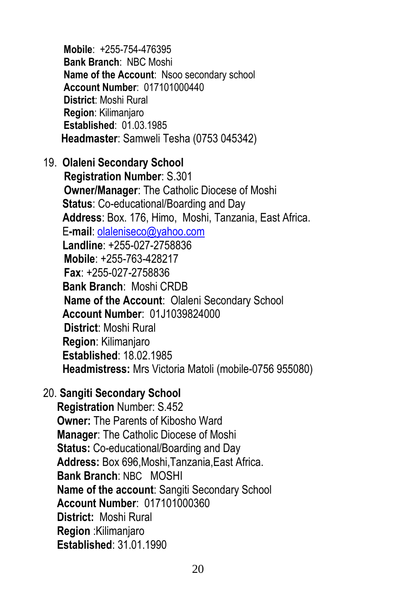**Mobile**: +255-754-476395 **Bank Branch**: NBC Moshi **Name of the Account**: Nsoo secondary school **Account Number**: 017101000440 **District**: Moshi Rural **Region**: Kilimanjaro **Established**: 01.03.1985 **Headmaster**: Samweli Tesha (0753 045342)

19. **Olaleni Secondary School**

**Registration Number**: S.301 **Owner/Manager**: The Catholic Diocese of Moshi **Status**: Co-educational/Boarding and Day **Address**: Box. 176, Himo, Moshi, Tanzania, East Africa. E**-mail**: [olaleniseco@yahoo.com](mailto:olaleniseco@yahoo.com) **Landline**: +255-027-2758836 **Mobile**: +255-763-428217 **Fax**: +255-027-2758836 **Bank Branch**: Moshi CRDB **Name of the Account**: Olaleni Secondary School **Account Number**: 01J1039824000 **District**: Moshi Rural **Region**: Kilimanjaro **Established**: 18.02.1985 **Headmistress:** Mrs Victoria Matoli (mobile-0756 955080)

20. **Sangiti Secondary School**

 **Registration** Number: S.452 **Owner:** The Parents of Kibosho Ward **Manager**: The Catholic Diocese of Moshi **Status:** Co-educational/Boarding and Day **Address:** Box 696,Moshi,Tanzania,East Africa.  **Bank Branch**: NBC MOSHI **Name of the account**: Sangiti Secondary School **Account Number**: 017101000360  **District:** Moshi Rural  **Region** :Kilimanjaro **Established**: 31.01.1990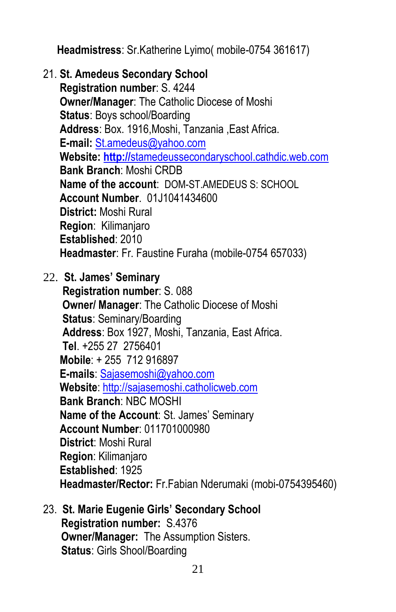**Headmistress**: Sr.Katherine Lyimo( mobile-0754 361617)

- 21. **St. Amedeus Secondary School Registration number**: S. 4244 **Owner/Manager**: The Catholic Diocese of Moshi **Status**: Boys school/Boarding **Address**: Box. 1916,Moshi, Tanzania ,East Africa. **E-mail:** [St.amedeus@yahoo.com](mailto:St.amedeus@yahoo.com) **Website: http://**[stamedeussecondaryschool.cathdic.web.com](http://stamedeussecondaryschool.cathdic.web.com/) **Bank Branch**: Moshi CRDB **Name of the account**: DOM-ST.AMEDEUS S: SCHOOL **Account Number**. 01J1041434600  **District:** Moshi Rural  **Region**: Kilimanjaro  **Established**: 2010  **Headmaster**: Fr. Faustine Furaha (mobile-0754 657033)
- 22. **St. James' Seminary Registration number**: S. 088  **Owner/ Manager**: The Catholic Diocese of Moshi **Status**: Seminary/Boarding **Address**: Box 1927, Moshi, Tanzania, East Africa. **Tel**. +255 27 2756401 **Mobile**: + 255 712 916897 **E-mails**: [Sajasemoshi@yahoo.com](mailto:Sajasemoshi@yahoo.com) **Website**: [http://sajasemoshi.catholicweb.com](http://sajasemoshi.catholicweb.com/) **Bank Branch**: NBC MOSHI **Name of the Account**: St. James' Seminary **Account Number**: 011701000980 **District**: Moshi Rural **Region**: Kilimanjaro **Established**: 1925 **Headmaster/Rector:** Fr.Fabian Nderumaki (mobi-0754395460)
- 23. **St. Marie Eugenie Girls' Secondary School Registration number:** S.4376 **Owner/Manager:** The Assumption Sisters. **Status**: Girls Shool/Boarding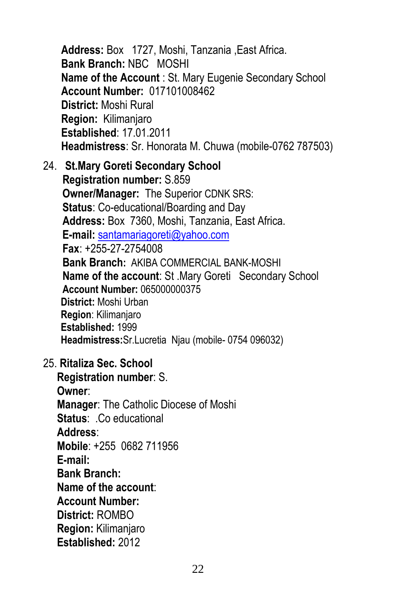**Address:** Box 1727, Moshi, Tanzania ,East Africa. **Bank Branch:** NBC MOSHI **Name of the Account** : St. Mary Eugenie Secondary School **Account Number:** 017101008462 **District:** Moshi Rural **Region:** Kilimanjaro **Established**: 17.01.2011 **Headmistress**: Sr. Honorata M. Chuwa (mobile-0762 787503)

- 24. **St.Mary Goreti Secondary School Registration number:** S.859 **Owner/Manager:** The Superior CDNK SRS: **Status**: Co-educational/Boarding and Day **Address:** Box 7360, Moshi, Tanzania, East Africa. **E-mail:** [santamariagoreti@yahoo.com](mailto:santamariagoreti@yahoo.com) **Fax**: +255-27-2754008 **Bank Branch:** AKIBA COMMERCIAL BANK-MOSHI **Name of the account**: St .Mary Goreti Secondary School **Account Number:** 065000000375  **District:** Moshi Urban **Region**: Kilimanjaro **Established:** 1999 **Headmistress:**Sr.Lucretia Njau (mobile- 0754 096032)
- 25. **Ritaliza Sec. School**

 **Registration number**: S. **Owner**: **Manager**: The Catholic Diocese of Moshi **Status**: .Co educational **Address**: **Mobile**: +255 0682 711956 **E-mail: Bank Branch: Name of the account**: **Account Number: District:** ROMBO **Region:** Kilimanjaro  **Established:** 2012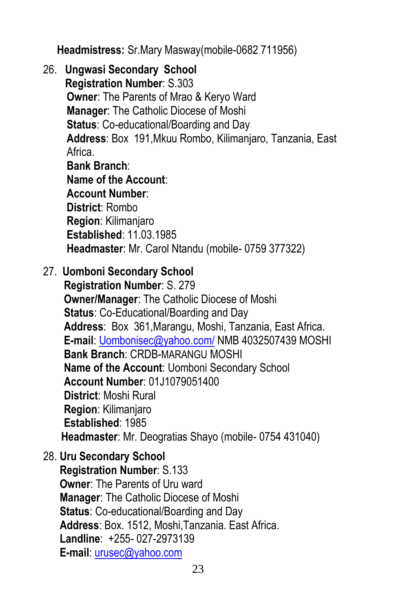**Headmistress:** Sr.Mary Masway(mobile-0682 711956)

26. **Ungwasi Secondary School Registration Number**: S.303 **Owner**: The Parents of Mrao & Keryo Ward **Manager**: The Catholic Diocese of Moshi **Status**: Co-educational/Boarding and Day **Address**: Box 191,Mkuu Rombo, Kilimanjaro, Tanzania, East Africa. **Bank Branch**: **Name of the Account**:

 **Account Number**: **District**: Rombo **Region**: Kilimanjaro **Established**: 11.03.1985  **Headmaster**: Mr. Carol Ntandu (mobile- 0759 377322)

### 27. **Uomboni Secondary School**

**Registration Number**: S. 279 **Owner/Manager**: The Catholic Diocese of Moshi **Status**: Co-Educational/Boarding and Day **Address**: Box 361,Marangu, Moshi, Tanzania, East Africa. **E-mail**: [Uombonisec@yahoo.com/](mailto:Uombonisec@yahoo.com/) NMB 4032507439 MOSHI **Bank Branch**: CRDB-MARANGU MOSHI **Name of the Account**: Uomboni Secondary School **Account Number**: 01J1079051400 **District**: Moshi Rural **Region**: Kilimanjaro **Established**: 1985 **Headmaster**: Mr. Deogratias Shayo (mobile- 0754 431040)

28. **Uru Secondary School Registration Number**: S.133 **Owner**: The Parents of Uru ward **Manager**: The Catholic Diocese of Moshi **Status**: Co-educational/Boarding and Day **Address**: Box. 1512, Moshi,Tanzania. East Africa. **Landline**: +255- 027-2973139 **E-mail**: [urusec@yahoo.com](mailto:urusec@yahoo.com)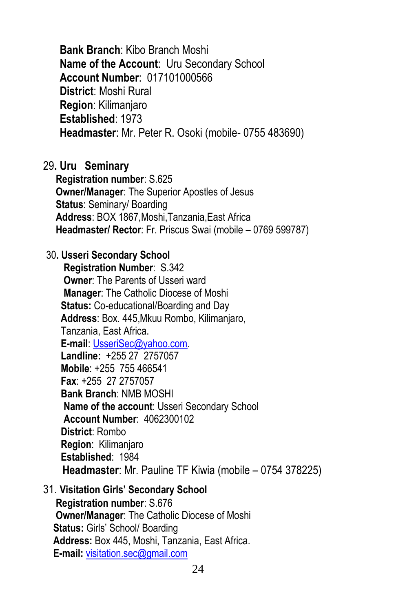**Bank Branch**: Kibo Branch Moshi **Name of the Account**: Uru Secondary School **Account Number**: 017101000566 **District**: Moshi Rural **Region**: Kilimanjaro **Established**: 1973  **Headmaster**: Mr. Peter R. Osoki (mobile- 0755 483690)

#### 29**. Uru Seminary**

**Registration number**: S.625

 **Owner/Manager**: The Superior Apostles of Jesus **Status**: Seminary/ Boarding  **Address**: BOX 1867,Moshi,Tanzania,East Africa  **Headmaster/ Rector**: Fr. Priscus Swai (mobile – 0769 599787)

#### 30**. Usseri Secondary School**

**Registration Number**: S.342 **Owner**: The Parents of Usseri ward **Manager**: The Catholic Diocese of Moshi **Status:** Co-educational/Boarding and Day **Address**: Box. 445,Mkuu Rombo, Kilimanjaro, Tanzania, East Africa. **E-mail**: [UsseriSec@yahoo.com.](mailto:UsseriSec@yahoo.com) **Landline:** +255 27 2757057  **Mobile**: +255 755 466541  **Fax**: +255 27 2757057 **Bank Branch**: NMB MOSHI **Name of the account**: Usseri Secondary School **Account Number**: 4062300102  **District**: Rombo  **Region**: Kilimanjaro  **Established**: 1984  **Headmaster**: Mr. Pauline TF Kiwia (mobile – 0754 378225)

#### 31. **Visitation Girls' Secondary School**

 **Registration number**: S.676 **Owner/Manager**: The Catholic Diocese of Moshi **Status:** Girls' School/ Boarding **Address:** Box 445, Moshi, Tanzania, East Africa. **E-mail:** [visitation.sec@gmail.com](mailto:visitation.sec@gmail.com)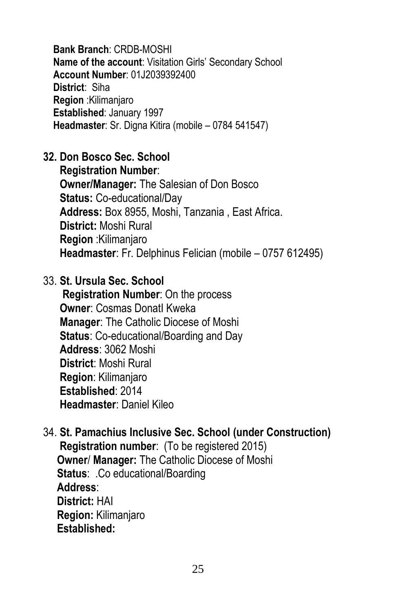**Bank Branch**: CRDB-MOSHI **Name of the account**: Visitation Girls' Secondary School **Account Number**: 01J2039392400 **District**: Siha **Region** :Kilimanjaro  **Established**: January 1997  **Headmaster**: Sr. Digna Kitira (mobile – 0784 541547)

### **32. Don Bosco Sec. School**

 **Registration Number**: **Owner/Manager:** The Salesian of Don Bosco **Status:** Co-educational/Day  **Address:** Box 8955, Moshi, Tanzania , East Africa. **District:** Moshi Rural  **Region** :Kilimanjaro  **Headmaster**: Fr. Delphinus Felician (mobile – 0757 612495)

### 33. **St. Ursula Sec. School**

 **Registration Number**: On the process **Owner**: Cosmas DonatI Kweka **Manager**: The Catholic Diocese of Moshi **Status**: Co-educational/Boarding and Day **Address**: 3062 Moshi **District**: Moshi Rural **Region**: Kilimanjaro **Established**: 2014  **Headmaster**: Daniel Kileo

### 34. **St. Pamachius Inclusive Sec. School (under Construction) Registration number**: (To be registered 2015) **Owner**/ **Manager:** The Catholic Diocese of Moshi **Status**: .Co educational/Boarding **Address**: **District:** HAI **Region:** Kilimanjaro  **Established:**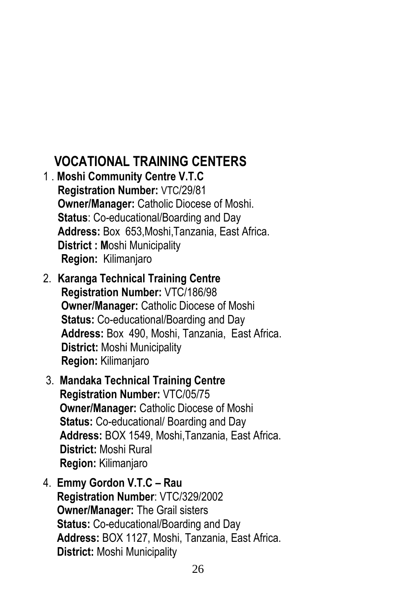### **VOCATIONAL TRAINING CENTERS**

- 1 . **Moshi Community Centre V.T.C Registration Number:** VTC/29/81  **Owner/Manager:** Catholic Diocese of Moshi.  **Status**: Co-educational/Boarding and Day  **Address:** Box 653,Moshi,Tanzania, East Africa.  **District : M**oshi Municipality **Region:** Kilimanjaro
- 2. **Karanga Technical Training Centre Registration Number:** VTC/186/98 **Owner/Manager:** Catholic Diocese of Moshi **Status:** Co-educational/Boarding and Day **Address:** Box 490, Moshi, Tanzania, East Africa. **District:** Moshi Municipality **Region:** Kilimanjaro
- 3. **Mandaka Technical Training Centre Registration Number:** VTC/05/75 **Owner/Manager:** Catholic Diocese of Moshi **Status:** Co-educational/ Boarding and Day **Address:** BOX 1549, Moshi,Tanzania, East Africa. **District:** Moshi Rural **Region:** Kilimanjaro
- 4. **Emmy Gordon V.T.C – Rau Registration Number**: VTC/329/2002 **Owner/Manager:** The Grail sisters **Status:** Co-educational/Boarding and Day **Address:** BOX 1127, Moshi, Tanzania, East Africa. **District:** Moshi Municipality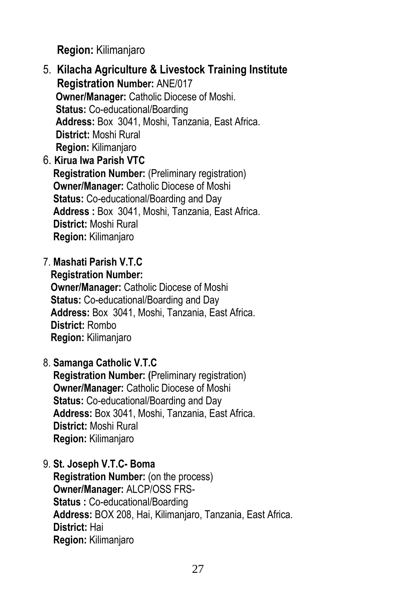**Region:** Kilimanjaro

- 5. **Kilacha Agriculture & Livestock Training Institute Registration Number:** ANE/017 **Owner/Manager:** Catholic Diocese of Moshi.  **Status:** Co-educational/Boarding **Address:** Box 3041, Moshi, Tanzania, East Africa.  **District:** Moshi Rural  **Region:** Kilimanjaro
- 6. **Kirua Iwa Parish VTC Registration Number:** (Preliminary registration) **Owner/Manager:** Catholic Diocese of Moshi  **Status:** Co-educational/Boarding and Day **Address :** Box 3041, Moshi, Tanzania, East Africa.  **District:** Moshi Rural **Region:** Kilimanjaro
- 7. **Mashati Parish V.T.C**
	- **Registration Number:**

 **Owner/Manager:** Catholic Diocese of Moshi **Status:** Co-educational/Boarding and Day **Address:** Box 3041, Moshi, Tanzania, East Africa. **District:** Rombo **Region:** Kilimanjaro

8. **Samanga Catholic V.T.C**

 **Registration Number: (**Preliminary registration) **Owner/Manager:** Catholic Diocese of Moshi **Status:** Co-educational/Boarding and Day **Address:** Box 3041, Moshi, Tanzania, East Africa. **District:** Moshi Rural **Region:** Kilimanjaro

9. **St. Joseph V.T.C- Boma**

 **Registration Number:** (on the process) **Owner/Manager:** ALCP/OSS FRS- **Status :** Co-educational/Boarding **Address:** BOX 208, Hai, Kilimanjaro, Tanzania, East Africa. **District:** Hai **Region:** Kilimanjaro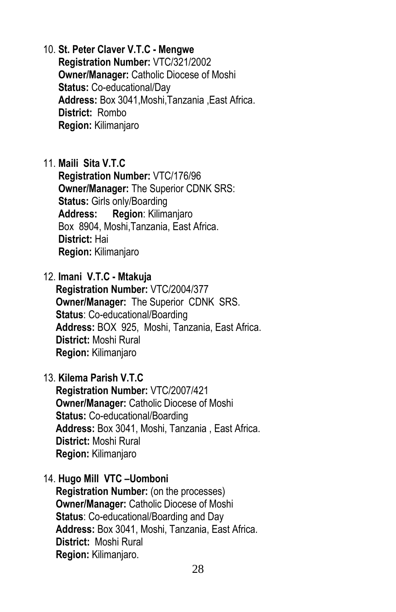- 10. **St. Peter Claver V.T.C - Mengwe Registration Number:** VTC/321/2002 **Owner/Manager:** Catholic Diocese of Moshi **Status:** Co-educational/Day **Address:** Box 3041,Moshi,Tanzania ,East Africa. **District:** Rombo **Region:** Kilimanjaro
- 11. **Maili Sita V.T.C Registration Number:** VTC/176/96 **Owner/Manager:** The Superior CDNK SRS: **Status:** Girls only/Boarding **Address: Region**: Kilimanjaro Box 8904, Moshi,Tanzania, East Africa. **District:** Hai **Region:** Kilimanjaro
- 12. **Imani V.T.C - Mtakuja Registration Number:** VTC/2004/377 **Owner/Manager:** The Superior CDNK SRS. **Status**: Co-educational/Boarding **Address:** BOX 925, Moshi, Tanzania, East Africa. **District:** Moshi Rural **Region:** Kilimanjaro
- 13. **Kilema Parish V.T.C**

 **Registration Number:** VTC/2007/421 **Owner/Manager:** Catholic Diocese of Moshi **Status:** Co-educational/Boarding **Address:** Box 3041, Moshi, Tanzania , East Africa. **District:** Moshi Rural **Region:** Kilimanjaro

14. **Hugo Mill VTC –Uomboni**

 **Registration Number:** (on the processes) **Owner/Manager:** Catholic Diocese of Moshi **Status**: Co-educational/Boarding and Day **Address:** Box 3041, Moshi, Tanzania, East Africa. **District:** Moshi Rural **Region:** Kilimanjaro.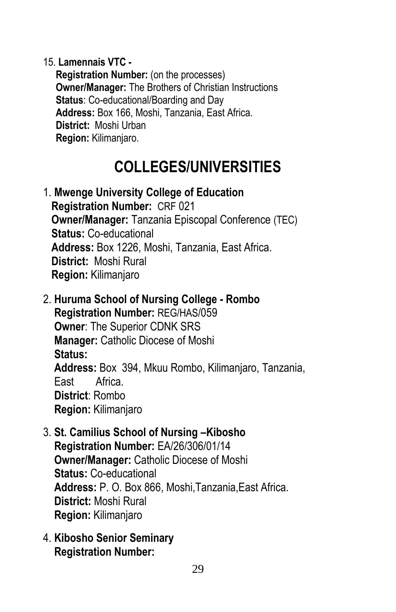15. **Lamennais VTC -**

 **Registration Number:** (on the processes) **Owner/Manager:** The Brothers of Christian Instructions **Status**: Co-educational/Boarding and Day **Address:** Box 166, Moshi, Tanzania, East Africa. **District:** Moshi Urban **Region:** Kilimanjaro.

## **COLLEGES/UNIVERSITIES**

- 1. **Mwenge University College of Education Registration Number:** CRF 021 **Owner/Manager:** Tanzania Episcopal Conference (TEC) **Status:** Co-educational **Address:** Box 1226, Moshi, Tanzania, East Africa. **District:** Moshi Rural **Region:** Kilimanjaro
- 2. **Huruma School of Nursing College - Rombo Registration Number:** REG/HAS/059 **Owner**: The Superior CDNK SRS **Manager:** Catholic Diocese of Moshi  **Status: Address:** Box 394, Mkuu Rombo, Kilimanjaro, Tanzania, East Africa. **District**: Rombo **Region:** Kilimanjaro
- 3. **St. Camilius School of Nursing –Kibosho Registration Number:** EA/26/306/01/14 **Owner/Manager:** Catholic Diocese of Moshi  **Status:** Co-educational **Address:** P. O. Box 866, Moshi,Tanzania,East Africa. **District:** Moshi Rural **Region:** Kilimanjaro
- 4. **Kibosho Senior Seminary Registration Number:**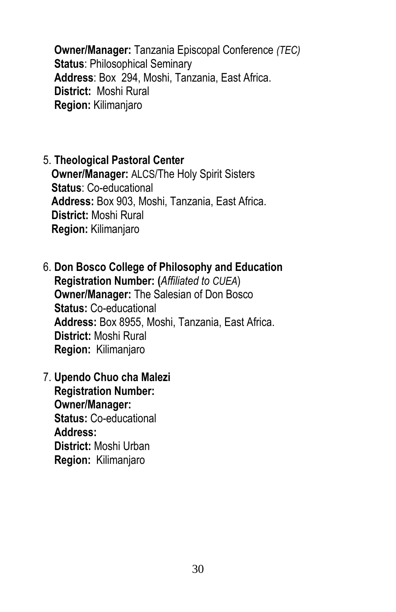**Owner/Manager:** Tanzania Episcopal Conference *(TEC)* **Status**: Philosophical Seminary **Address**: Box 294, Moshi, Tanzania, East Africa. **District:** Moshi Rural **Region:** Kilimanjaro

### 5. **Theological Pastoral Center**

 **Owner/Manager:** ALCS/The Holy Spirit Sisters **Status**: Co-educational **Address:** Box 903, Moshi, Tanzania, East Africa. **District:** Moshi Rural **Region:** Kilimanjaro

6. **Don Bosco College of Philosophy and Education Registration Number: (***Affiliated to CUEA*) **Owner/Manager:** The Salesian of Don Bosco **Status:** Co-educational **Address:** Box 8955, Moshi, Tanzania, East Africa. **District:** Moshi Rural **Region:** Kilimanjaro

7. **Upendo Chuo cha Malezi Registration Number: Owner/Manager: Status:** Co-educational **Address: District:** Moshi Urban **Region:** Kilimanjaro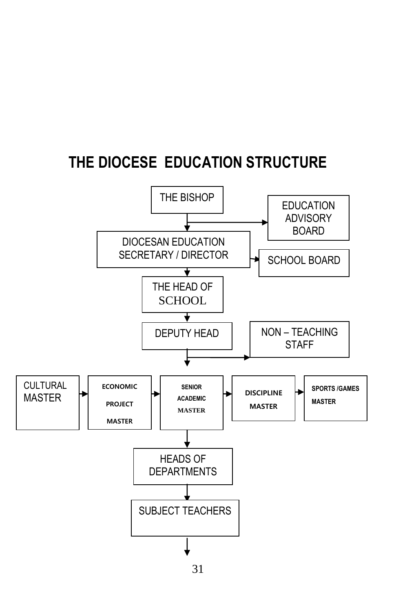## **THE DIOCESE EDUCATION STRUCTURE**



<sup>31</sup>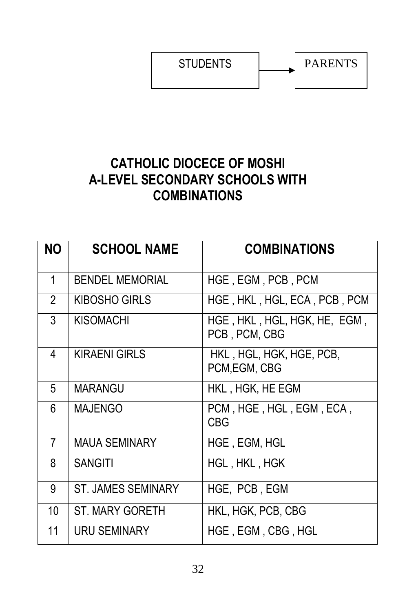STUDENTS | PARENTS

### **CATHOLIC DIOCECE OF MOSHI A-LEVEL SECONDARY SCHOOLS WITH COMBINATIONS**

| <b>NO</b>      | <b>SCHOOL NAME</b>        | <b>COMBINATIONS</b>                           |
|----------------|---------------------------|-----------------------------------------------|
| 1              | <b>BENDEL MEMORIAL</b>    | HGE, EGM, PCB, PCM                            |
| $\overline{2}$ | KIBOSHO GIRLS             | HGE, HKL, HGL, ECA, PCB, PCM                  |
| 3              | <b>KISOMACHI</b>          | HGE, HKL, HGL, HGK, HE, EGM,<br>PCB, PCM, CBG |
| 4              | <b>KIRAENI GIRLS</b>      | HKL, HGL, HGK, HGE, PCB,<br>PCM, EGM, CBG     |
| 5              | <b>MARANGU</b>            | HKL, HGK, HE EGM                              |
| 6              | <b>MAJENGO</b>            | PCM, HGE, HGL, EGM, ECA,<br><b>CBG</b>        |
| $\overline{7}$ | <b>MAUA SEMINARY</b>      | <b>HGE, EGM, HGL</b>                          |
| 8              | <b>SANGITI</b>            | HGL, HKL, HGK                                 |
| 9              | <b>ST. JAMES SEMINARY</b> | HGE, PCB, EGM                                 |
| 10             | <b>ST. MARY GORETH</b>    | HKL, HGK, PCB, CBG                            |
| 11             | <b>URU SEMINARY</b>       | HGE, EGM, CBG, HGL                            |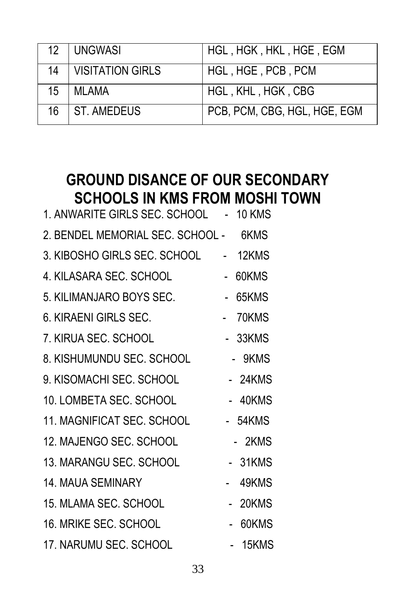|                 | 12   UNGWASI          | HGL, HGK, HKL, HGE, EGM      |
|-----------------|-----------------------|------------------------------|
|                 | 14   VISITATION GIRLS | HGL, HGE, PCB, PCM           |
| 15 <sup>1</sup> | MLAMA                 | HGL, KHL, HGK, CBG           |
|                 | 16 ST. AMEDEUS        | PCB, PCM, CBG, HGL, HGE, EGM |

## **GROUND DISANCE OF OUR SECONDARY SCHOOLS IN KMS FROM MOSHI TOWN**

| 1. ANWARITE GIRLS SEC. SCHOOL - 10 KMS |                |         |
|----------------------------------------|----------------|---------|
| 2. BENDEL MEMORIAL SEC. SCHOOL - 6KMS  |                |         |
| 3. KIBOSHO GIRLS SEC. SCHOOL           |                | 12KMS   |
| 4. KILASARA SEC. SCHOOL                | $\blacksquare$ | 60KMS   |
| 5. KILIMANJARO BOYS SEC.               | $\blacksquare$ | 65KMS   |
| 6. KIRAENI GIRLS SEC.                  |                | - 70KMS |
| 7. KIRUA SEC. SCHOOL                   | $\sim$         | 33KMS   |
| 8. KISHUMUNDU SEC. SCHOOL              |                | - 9KMS  |
| 9. KISOMACHI SEC. SCHOOL               |                | - 24KMS |
| 10. LOMBETA SEC. SCHOOL                |                | - 40KMS |
| 11. MAGNIFICAT SEC. SCHOOL             |                | - 54KMS |
| 12. MAJENGO SEC. SCHOOL                |                | - 2KMS  |
| 13. MARANGU SEC. SCHOOL                |                | - 31KMS |
| <b>14. MAUA SEMINARY</b>               |                | 49KMS   |
| 15. MLAMA SEC. SCHOOL                  |                | 20KMS   |
| 16. MRIKE SEC. SCHOOL                  |                | 60KMS   |
| 17. NARUMU SEC. SCHOOL                 |                | 15KMS   |
|                                        |                |         |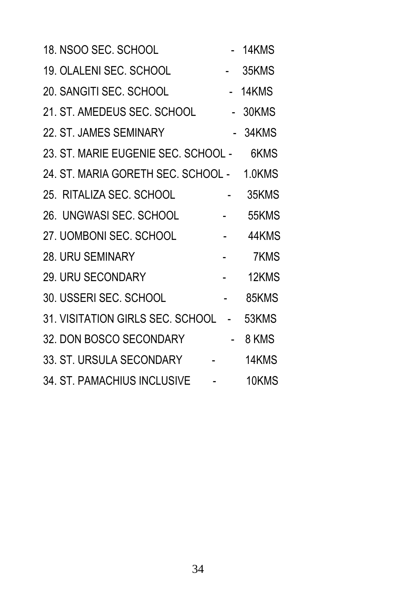| 18. NSOO SEC. SCHOOL                                                                                            |                                                              | - 14KMS |  |
|-----------------------------------------------------------------------------------------------------------------|--------------------------------------------------------------|---------|--|
| 19. OLALENI SEC. SCHOOL<br>- 35KMS                                                                              |                                                              |         |  |
| - 14KMS<br>20. SANGITI SEC. SCHOOL                                                                              |                                                              |         |  |
| 21. ST. AMEDEUS SEC. SCHOOL - 30KMS                                                                             |                                                              |         |  |
| 22. ST. JAMES SEMINARY                                                                                          |                                                              | 34KMS   |  |
| 23. ST. MARIE EUGENIE SEC. SCHOOL - 6KMS                                                                        |                                                              |         |  |
| 24. ST. MARIA GORETH SEC. SCHOOL - 1.0KMS                                                                       |                                                              |         |  |
| $\mathcal{L}^{\text{max}}_{\text{max}}$ and $\mathcal{L}^{\text{max}}_{\text{max}}$<br>25. RITALIZA SEC. SCHOOL |                                                              | 35KMS   |  |
| 26. UNGWASI SEC. SCHOOL -                                                                                       |                                                              | 55KMS   |  |
| 27. UOMBONI SEC. SCHOOL                                                                                         | $\mathcal{L}^{\mathcal{L}}(\mathcal{L}^{\mathcal{L}})$ . Let | 44KMS   |  |
| and the state of the state of<br><b>28. URU SEMINARY</b>                                                        |                                                              | 7KMS    |  |
| 29. URU SECONDARY                                                                                               |                                                              | 12KMS   |  |
| $\mathcal{L}^{\text{max}}$ .<br>30. USSERI SEC. SCHOOL                                                          |                                                              | 85KMS   |  |
| 31. VISITATION GIRLS SEC. SCHOOL - 53KMS                                                                        |                                                              |         |  |
| 32. DON BOSCO SECONDARY -                                                                                       |                                                              | 8 KMS   |  |
| 33. ST. URSULA SECONDARY -                                                                                      |                                                              | 14KMS   |  |
| 34. ST. PAMACHIUS INCLUSIVE -                                                                                   |                                                              | 10KMS   |  |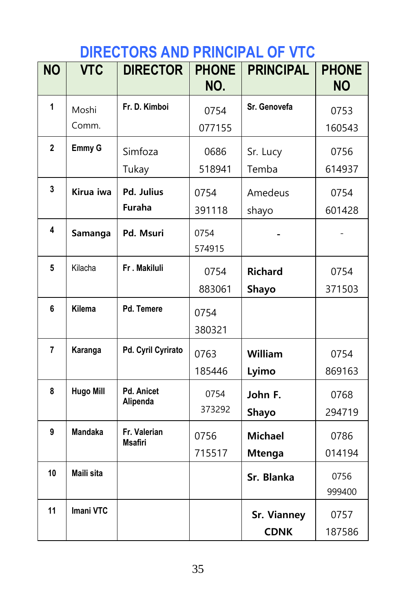# **DIRECTORS AND PRINCIPAL OF VTC**

| <b>NO</b>      | <b>VTC</b>       | <b>DIRECTOR</b>                | <b>PHONE</b><br>NO. | <b>PRINCIPAL</b>   | <b>PHONE</b><br><b>NO</b> |
|----------------|------------------|--------------------------------|---------------------|--------------------|---------------------------|
| $\mathbf{1}$   | Moshi            | Fr. D. Kimboi                  | 0754                | Sr. Genovefa       | 0753                      |
|                | Comm.            |                                | 077155              |                    | 160543                    |
| $\mathbf 2$    | Emmy G           | Simfoza                        | 0686                | Sr. Lucy           | 0756                      |
|                |                  | Tukay                          | 518941              | Temba              | 614937                    |
| 3              | Kirua iwa        | Pd. Julius                     | 0754                | Amedeus            | 0754                      |
|                |                  | Furaha                         | 391118              | shayo              | 601428                    |
| 4              | Samanga          | Pd. Msuri                      | 0754                |                    |                           |
|                |                  |                                | 574915              |                    |                           |
| 5              | Kilacha          | Fr. Makiluli                   | 0754                | <b>Richard</b>     | 0754                      |
|                |                  |                                | 883061              | Shayo              | 371503                    |
| 6              | Kilema           | Pd. Temere                     | 0754                |                    |                           |
|                |                  |                                | 380321              |                    |                           |
| $\overline{7}$ | Karanga          | Pd. Cyril Cyrirato             | 0763                | William            | 0754                      |
|                |                  |                                | 185446              | Lyimo              | 869163                    |
| 8              | <b>Hugo Mill</b> | <b>Pd. Anicet</b>              | 0754                | John F.            | 0768                      |
|                |                  | Alipenda                       | 373292              | Shayo              | 294719                    |
| 9              | <b>Mandaka</b>   | Fr. Valerian<br><b>Msafiri</b> | 0756                | <b>Michael</b>     | 0786                      |
|                |                  |                                | 715517              | <b>Mtenga</b>      | 014194                    |
| 10             | Maili sita       |                                |                     | Sr. Blanka         | 0756                      |
|                |                  |                                |                     |                    | 999400                    |
| 11             | <b>Imani VTC</b> |                                |                     | <b>Sr. Vianney</b> | 0757                      |
|                |                  |                                |                     | <b>CDNK</b>        | 187586                    |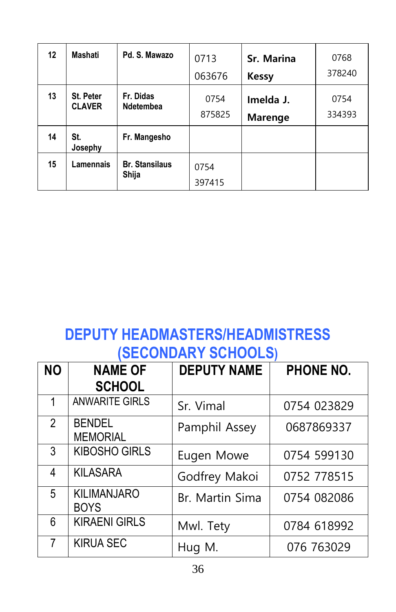| 12 | Mashati                    | Pd. S. Mawazo                  | 0713           | Sr. Marina                  | 0768           |
|----|----------------------------|--------------------------------|----------------|-----------------------------|----------------|
|    |                            |                                | 063676         | <b>Kessy</b>                | 378240         |
| 13 | St. Peter<br><b>CLAVER</b> | Fr. Didas<br><b>Ndetembea</b>  | 0754<br>875825 | Imelda J.<br><b>Marenge</b> | 0754<br>334393 |
| 14 | St.<br>Josephy             | Fr. Mangesho                   |                |                             |                |
| 15 | Lamennais                  | <b>Br. Stansilaus</b><br>Shija | 0754<br>397415 |                             |                |

## **DEPUTY HEADMASTERS/HEADMISTRESS (SECONDARY SCHOOLS)**

| <b>NO</b>      | <b>NAME OF</b><br><b>SCHOOL</b>   | <b>DEPUTY NAME</b> | PHONE NO.   |
|----------------|-----------------------------------|--------------------|-------------|
| 1              | <b>ANWARITE GIRLS</b>             | Sr. Vimal          | 0754 023829 |
| $\overline{2}$ | <b>BENDEL</b><br><b>MEMORIAL</b>  | Pamphil Assey      | 0687869337  |
| 3              | <b>KIBOSHO GIRLS</b>              | Eugen Mowe         | 0754 599130 |
| 4              | <b>KILASARA</b>                   | Godfrey Makoi      | 0752 778515 |
| 5              | <b>KILIMANJARO</b><br><b>BOYS</b> | Br. Martin Sima    | 0754 082086 |
| 6              | <b>KIRAENI GIRLS</b>              | Mwl. Tety          | 0784 618992 |
| 7              | <b>KIRUA SEC</b>                  | Hug M.             | 076 763029  |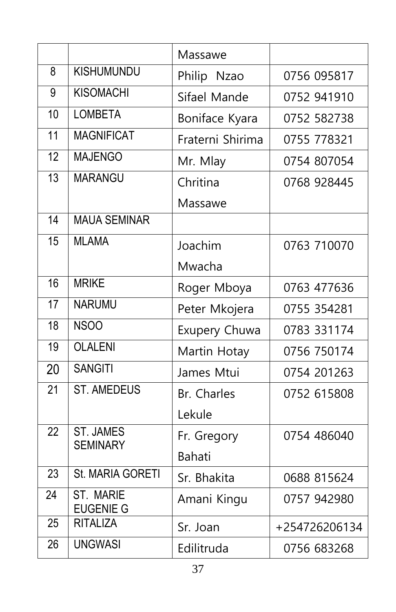|                 |                                     | Massawe          |               |
|-----------------|-------------------------------------|------------------|---------------|
| 8               | <b>KISHUMUNDU</b>                   | Philip Nzao      | 0756 095817   |
| 9               | <b>KISOMACHI</b>                    | Sifael Mande     | 0752 941910   |
| 10              | <b>LOMBETA</b>                      | Boniface Kyara   | 0752 582738   |
| 11              | <b>MAGNIFICAT</b>                   | Fraterni Shirima | 0755 778321   |
| $\overline{12}$ | <b>MAJENGO</b>                      | Mr. Mlay         | 0754 807054   |
| $\overline{13}$ | <b>MARANGU</b>                      | Chritina         | 0768 928445   |
|                 |                                     | Massawe          |               |
| $\overline{14}$ | <b>MAUA SEMINAR</b>                 |                  |               |
| 15              | <b>MLAMA</b>                        | Joachim          | 0763 710070   |
|                 |                                     | Mwacha           |               |
| 16              | <b>MRIKE</b>                        | Roger Mboya      | 0763 477636   |
| 17              | <b>NARUMU</b>                       | Peter Mkojera    | 0755 354281   |
| $\overline{18}$ | <b>NSOO</b>                         | Exupery Chuwa    | 0783 331174   |
| 19              | <b>OLALENI</b>                      | Martin Hotay     | 0756 750174   |
| 20              | <b>SANGITI</b>                      | James Mtui       | 0754 201263   |
| $\overline{21}$ | <b>ST. AMEDEUS</b>                  | Br. Charles      | 0752 615808   |
|                 |                                     | Lekule           |               |
| 22              | <b>ST. JAMES</b><br><b>SEMINARY</b> | Fr. Gregory      | 0754 486040   |
|                 |                                     | Bahati           |               |
| $\overline{23}$ | St. MARIA GORETI                    | Sr. Bhakita      | 0688 815624   |
| 24              | ST. MARIE<br><b>EUGENIE G</b>       | Amani Kingu      | 0757 942980   |
| 25              | <b>RITALIZA</b>                     | Sr. Joan         | +254726206134 |
| 26              | <b>UNGWASI</b>                      | Edilitruda       | 0756 683268   |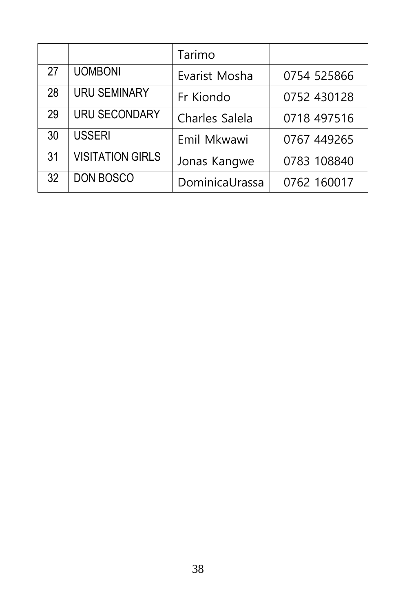|    |                         | Tarimo         |             |
|----|-------------------------|----------------|-------------|
| 27 | <b>UOMBONI</b>          | Evarist Mosha  | 0754 525866 |
| 28 | <b>URU SEMINARY</b>     | Fr Kiondo      | 0752 430128 |
| 29 | <b>URU SECONDARY</b>    | Charles Salela | 0718 497516 |
| 30 | <b>USSERI</b>           | Emil Mkwawi    | 0767 449265 |
| 31 | <b>VISITATION GIRLS</b> | Jonas Kangwe   | 0783 108840 |
| 32 | <b>DON BOSCO</b>        | DominicaUrassa | 0762 160017 |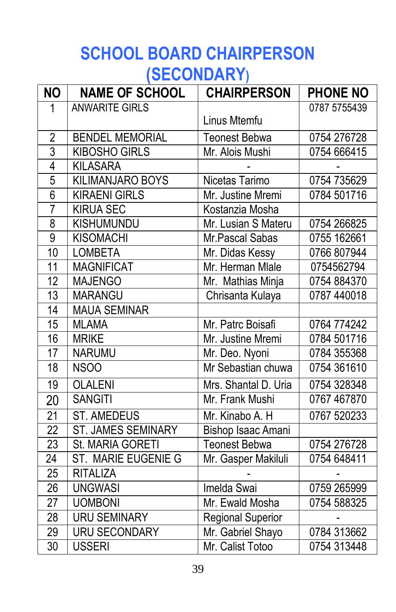# **SCHOOL BOARD CHAIRPERSON (SECONDARY)**

| <b>NO</b>          | <b>NAME OF SCHOOL</b>     | <b>CHAIRPERSON</b>       | <b>PHONE NO</b> |
|--------------------|---------------------------|--------------------------|-----------------|
| $\mathbf{1}$       | <b>ANWARITE GIRLS</b>     |                          | 0787 5755439    |
|                    |                           | Linus Mtemfu             |                 |
| $\frac{2}{3}$      | <b>BENDEL MEMORIAL</b>    | <b>Teonest Bebwa</b>     | 0754 276728     |
|                    | <b>KIBOSHO GIRLS</b>      | Mr. Alois Mushi          | 0754 666415     |
| $\overline{4}$     | <b>KILASARA</b>           |                          |                 |
| $\overline{5}$     | <b>KILIMANJARO BOYS</b>   | Nicetas Tarimo           | 0754 735629     |
| $\overline{6}$     | <b>KIRAENI GIRLS</b>      | Mr. Justine Mremi        | 0784 501716     |
| $\overline{7}$     | <b>KIRUA SEC</b>          | Kostanzia Mosha          |                 |
| $\overline{\bf 8}$ | <b>KISHUMUNDU</b>         | Mr. Lusian S Materu      | 0754 266825     |
| $\overline{9}$     | <b>KISOMACHI</b>          | Mr. Pascal Sabas         | 0755 162661     |
| 10                 | <b>LOMBETA</b>            | Mr. Didas Kessy          | 0766 807944     |
| 11                 | <b>MAGNIFICAT</b>         | Mr. Herman Mlale         | 0754562794      |
| 12                 | <b>MAJENGO</b>            | Mr. Mathias Minja        | 0754 884370     |
| 13                 | <b>MARANGU</b>            | Chrisanta Kulaya         | 0787 440018     |
| $\overline{14}$    | <b>MAUA SEMINAR</b>       |                          |                 |
| $\overline{15}$    | <b>MLAMA</b>              | Mr. Patrc Boisafi        | 0764 774242     |
| 16                 | <b>MRIKE</b>              | Mr. Justine Mremi        | 0784 501716     |
| $\overline{17}$    | <b>NARUMU</b>             | Mr. Deo. Nyoni           | 0784 355368     |
| 18                 | <b>NSOO</b>               | Mr Sebastian chuwa       | 0754 361610     |
| 19                 | <b>OLALENI</b>            | Mrs. Shantal D. Uria     | 0754 328348     |
| 20                 | <b>SANGITI</b>            | Mr. Frank Mushi          | 0767 467870     |
| $\overline{21}$    | <b>ST. AMEDEUS</b>        | Mr. Kinabo A. H          | 0767 520233     |
| $\overline{22}$    | <b>ST. JAMES SEMINARY</b> | Bishop Isaac Amani       |                 |
| $\overline{23}$    | St. MARIA GORETI          | <b>Teonest Bebwa</b>     | 0754 276728     |
| $\overline{24}$    | ST. MARIE EUGENIE G       | Mr. Gasper Makiluli      | 0754 648411     |
| $\overline{25}$    | <b>RITALIZA</b>           |                          |                 |
| $\overline{26}$    | <b>UNGWASI</b>            | Imelda Swai              | 0759 265999     |
| $\overline{27}$    | <b>UOMBONI</b>            | Mr. Ewald Mosha          | 0754 588325     |
| $\overline{28}$    | <b>URU SEMINARY</b>       | <b>Regional Superior</b> |                 |
| 29                 | <b>URU SECONDARY</b>      | Mr. Gabriel Shayo        | 0784 313662     |
| $\overline{30}$    | <b>USSERI</b>             | Mr. Calist Totoo         | 0754 313448     |